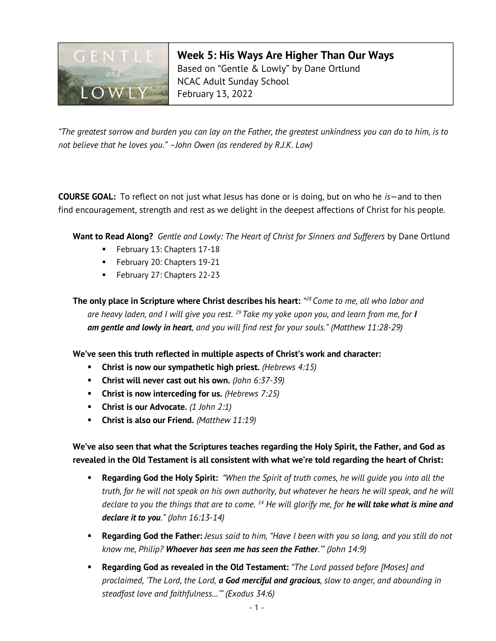

Week 5: His Ways Are Higher Than Our Ways Based on "Gentle & Lowly" by Dane Ortlund NCAC Adult Sunday School February 13, 2022

"The greatest sorrow and burden you can lay on the Father, the greatest unkindness you can do to him, is to not believe that he loves you." –John Owen (as rendered by R.J.K. Law)

**COURSE GOAL:** To reflect on not just what Jesus has done or is doing, but on who he  $is$ —and to then find encouragement, strength and rest as we delight in the deepest affections of Christ for his people.

Want to Read Along? Gentle and Lowly: The Heart of Christ for Sinners and Sufferers by Dane Ortlund

- **February 13: Chapters 17-18**
- **February 20: Chapters 19-21**
- **February 27: Chapters 22-23**

The only place in Scripture where Christ describes his heart: "28 Come to me, all who labor and are heavy laden, and I will give you rest.  $^{29}$  Take my yoke upon you, and learn from me, for I am gentle and lowly in heart, and you will find rest for your souls." (Matthew 11:28-29)

We've seen this truth reflected in multiple aspects of Christ's work and character:

- **Christ is now our sympathetic high priest.** (Hebrews  $4:15$ )
- **Christ will never cast out his own.** (John  $6:37-39$ )
- **Christ is now interceding for us.** (Hebrews  $7:25$ )
- Christ is our Advocate.  $(1)$  John 2:1)
- Christ is also our Friend. (Matthew  $11:19$ )

We've also seen that what the Scriptures teaches regarding the Holy Spirit, the Father, and God as revealed in the Old Testament is all consistent with what we're told regarding the heart of Christ:

- Regarding God the Holy Spirit: "When the Spirit of truth comes, he will quide you into all the truth, for he will not speak on his own authority, but whatever he hears he will speak, and he will declare to you the things that are to come. <sup>14</sup> He will glorify me, for he will take what is mine and declare it to you." (John 16:13-14)
- **Regarding God the Father:** Jesus said to him, "Have I been with you so long, and you still do not know me, Philip? Whoever has seen me has seen the Father.'" (John 14:9)
- **Regarding God as revealed in the Old Testament:** "The Lord passed before [Moses] and proclaimed, 'The Lord, the Lord, a God merciful and gracious, slow to anger, and abounding in steadfast love and faithfulness…'" (Exodus 34:6)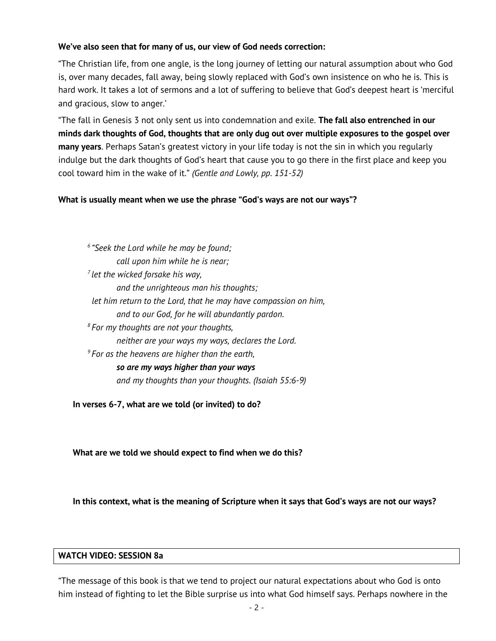## We've also seen that for many of us, our view of God needs correction:

"The Christian life, from one angle, is the long journey of letting our natural assumption about who God is, over many decades, fall away, being slowly replaced with God's own insistence on who he is. This is hard work. It takes a lot of sermons and a lot of suffering to believe that God's deepest heart is 'merciful and gracious, slow to anger.'

"The fall in Genesis 3 not only sent us into condemnation and exile. The fall also entrenched in our minds dark thoughts of God, thoughts that are only dug out over multiple exposures to the gospel over many years. Perhaps Satan's greatest victory in your life today is not the sin in which you regularly indulge but the dark thoughts of God's heart that cause you to go there in the first place and keep you cool toward him in the wake of it." (Gentle and Lowly, pp. 151-52)

### What is usually meant when we use the phrase "God's ways are not our ways"?

 $6$  "Seek the Lord while he may be found; call upon him while he is near;  $<sup>7</sup>$  let the wicked forsake his way,</sup> and the unrighteous man his thoughts; let him return to the Lord, that he may have compassion on him, and to our God, for he will abundantly pardon.  $8$  For my thoughts are not your thoughts, neither are your ways my ways, declares the Lord.  $9^9$  For as the heavens are higher than the earth, so are my ways higher than your ways and my thoughts than your thoughts. (Isaiah 55:6-9)

In verses 6-7, what are we told (or invited) to do?

What are we told we should expect to find when we do this?

In this context, what is the meaning of Scripture when it says that God's ways are not our ways?

### WATCH VIDEO: SESSION 8a

"The message of this book is that we tend to project our natural expectations about who God is onto him instead of fighting to let the Bible surprise us into what God himself says. Perhaps nowhere in the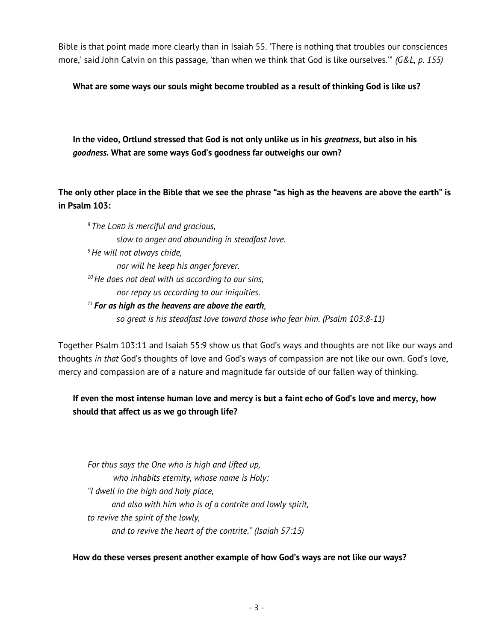Bible is that point made more clearly than in Isaiah 55. 'There is nothing that troubles our consciences more,' said John Calvin on this passage, 'than when we think that God is like ourselves." (G&L, p. 155)

What are some ways our souls might become troubled as a result of thinking God is like us?

In the video, Ortlund stressed that God is not only unlike us in his *greatness*, but also in his goodness. What are some ways God's goodness far outweighs our own?

The only other place in the Bible that we see the phrase "as high as the heavens are above the earth" is in Psalm 103:

 $8$  The LORD is merciful and gracious, slow to anger and abounding in steadfast love.  $<sup>9</sup>$ He will not always chide,</sup> nor will he keep his anger forever.  $10$  He does not deal with us according to our sins, nor repay us according to our iniquities.  $11$  For as high as the heavens are above the earth, so great is his steadfast love toward those who fear him. (Psalm 103:8-11)

Together Psalm 103:11 and Isaiah 55:9 show us that God's ways and thoughts are not like our ways and thoughts in that God's thoughts of love and God's ways of compassion are not like our own. God's love, mercy and compassion are of a nature and magnitude far outside of our fallen way of thinking.

# If even the most intense human love and mercy is but a faint echo of God's love and mercy, how should that affect us as we go through life?

For thus says the One who is high and lifted up, who inhabits eternity, whose name is Holy: "I dwell in the high and holy place, and also with him who is of a contrite and lowly spirit, to revive the spirit of the lowly, and to revive the heart of the contrite." (Isaiah 57:15)

How do these verses present another example of how God's ways are not like our ways?